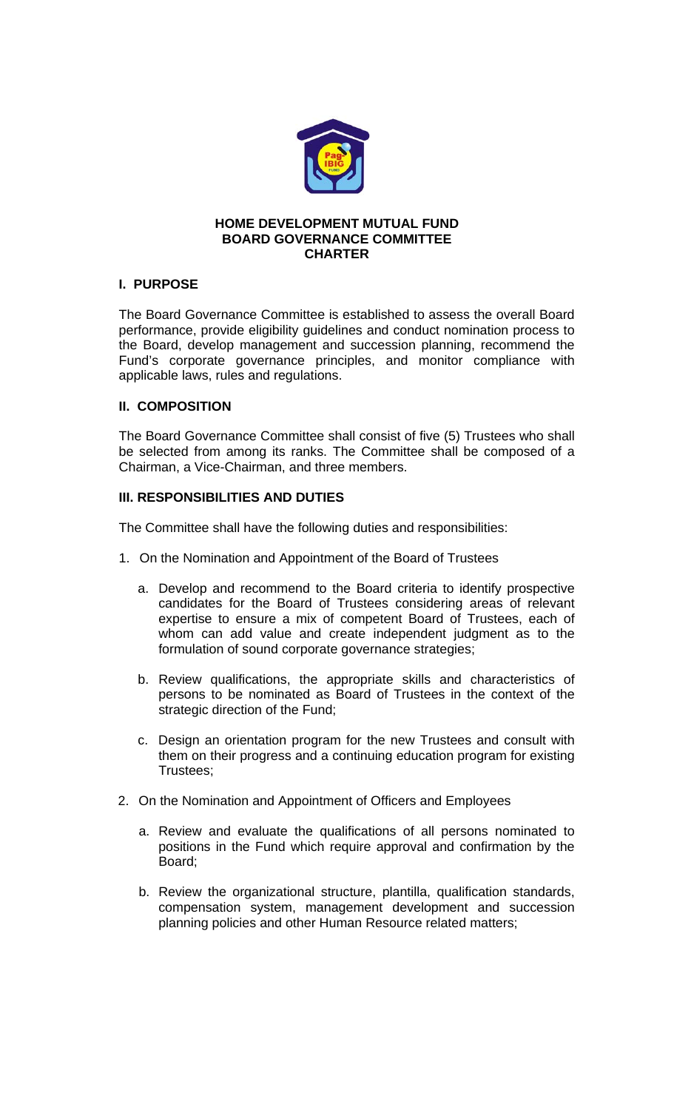

#### **HOME DEVELOPMENT MUTUAL FUND BOARD GOVERNANCE COMMITTEE CHARTER**

## **I. PURPOSE**

The Board Governance Committee is established to assess the overall Board performance, provide eligibility guidelines and conduct nomination process to the Board, develop management and succession planning, recommend the Fund's corporate governance principles, and monitor compliance with applicable laws, rules and regulations.

### **II. COMPOSITION**

The Board Governance Committee shall consist of five (5) Trustees who shall be selected from among its ranks. The Committee shall be composed of a Chairman, a Vice-Chairman, and three members.

### **III. RESPONSIBILITIES AND DUTIES**

The Committee shall have the following duties and responsibilities:

- 1. On the Nomination and Appointment of the Board of Trustees
	- a. Develop and recommend to the Board criteria to identify prospective candidates for the Board of Trustees considering areas of relevant expertise to ensure a mix of competent Board of Trustees, each of whom can add value and create independent judgment as to the formulation of sound corporate governance strategies;
	- b. Review qualifications, the appropriate skills and characteristics of persons to be nominated as Board of Trustees in the context of the strategic direction of the Fund;
	- c. Design an orientation program for the new Trustees and consult with them on their progress and a continuing education program for existing Trustees;
- 2. On the Nomination and Appointment of Officers and Employees
	- a. Review and evaluate the qualifications of all persons nominated to positions in the Fund which require approval and confirmation by the Board;
	- b. Review the organizational structure, plantilla, qualification standards, compensation system, management development and succession planning policies and other Human Resource related matters;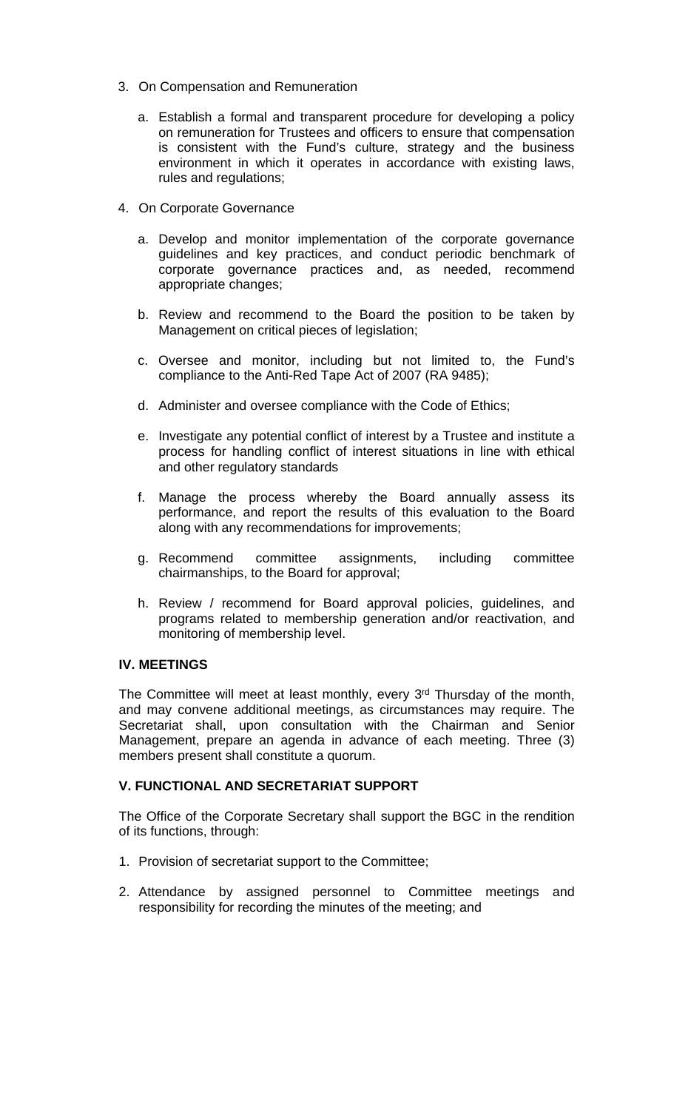- 3. On Compensation and Remuneration
	- a. Establish a formal and transparent procedure for developing a policy on remuneration for Trustees and officers to ensure that compensation is consistent with the Fund's culture, strategy and the business environment in which it operates in accordance with existing laws, rules and regulations;
- 4. On Corporate Governance
	- a. Develop and monitor implementation of the corporate governance guidelines and key practices, and conduct periodic benchmark of corporate governance practices and, as needed, recommend appropriate changes;
	- b. Review and recommend to the Board the position to be taken by Management on critical pieces of legislation;
	- c. Oversee and monitor, including but not limited to, the Fund's compliance to the Anti-Red Tape Act of 2007 (RA 9485);
	- d. Administer and oversee compliance with the Code of Ethics;
	- e. Investigate any potential conflict of interest by a Trustee and institute a process for handling conflict of interest situations in line with ethical and other regulatory standards
	- f. Manage the process whereby the Board annually assess its performance, and report the results of this evaluation to the Board along with any recommendations for improvements;
	- g. Recommend committee assignments, including committee chairmanships, to the Board for approval;
	- h. Review / recommend for Board approval policies, guidelines, and programs related to membership generation and/or reactivation, and monitoring of membership level.

### **IV. MEETINGS**

The Committee will meet at least monthly, every 3<sup>rd</sup> Thursday of the month, and may convene additional meetings, as circumstances may require. The Secretariat shall, upon consultation with the Chairman and Senior Management, prepare an agenda in advance of each meeting. Three (3) members present shall constitute a quorum.

### **V. FUNCTIONAL AND SECRETARIAT SUPPORT**

The Office of the Corporate Secretary shall support the BGC in the rendition of its functions, through:

- 1. Provision of secretariat support to the Committee;
- 2. Attendance by assigned personnel to Committee meetings and responsibility for recording the minutes of the meeting; and